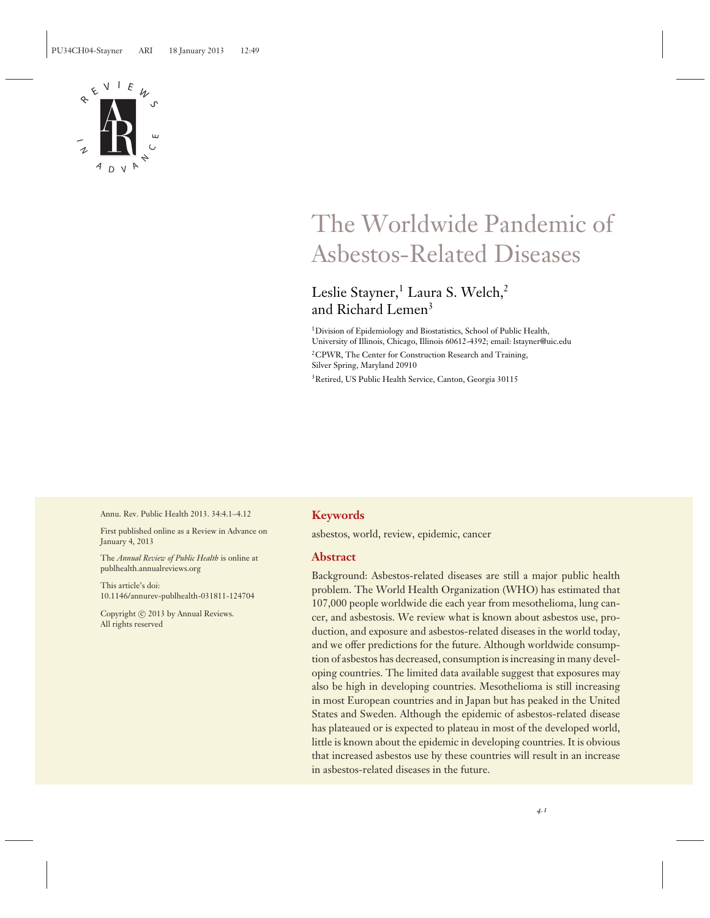

# The Worldwide Pandemic of Asbestos-Related Diseases

## Leslie Stayner,<sup>1</sup> Laura S. Welch,<sup>2</sup> and Richard Lemen<sup>3</sup>

<sup>1</sup>Division of Epidemiology and Biostatistics, School of Public Health, University of Illinois, Chicago, Illinois 60612-4392; email: lstayner@uic.edu 2CPWR, The Center for Construction Research and Training, Silver Spring, Maryland 20910 3Retired, US Public Health Service, Canton, Georgia 30115

Annu. Rev. Public Health 2013. 34:4.1–4.12

First published online as a Review in Advance on January 4, 2013

The *Annual Review of Public Health* is online at publhealth.annualreviews.org

This article's doi: 10.1146/annurev-publhealth-031811-124704

Copyright © 2013 by Annual Reviews. All rights reserved

#### **Keywords**

asbestos, world, review, epidemic, cancer

#### **Abstract**

Background: Asbestos-related diseases are still a major public health problem. The World Health Organization (WHO) has estimated that 107,000 people worldwide die each year from mesothelioma, lung cancer, and asbestosis. We review what is known about asbestos use, production, and exposure and asbestos-related diseases in the world today, and we offer predictions for the future. Although worldwide consumption of asbestos has decreased, consumption is increasing in many developing countries. The limited data available suggest that exposures may also be high in developing countries. Mesothelioma is still increasing in most European countries and in Japan but has peaked in the United States and Sweden. Although the epidemic of asbestos-related disease has plateaued or is expected to plateau in most of the developed world, little is known about the epidemic in developing countries. It is obvious that increased asbestos use by these countries will result in an increase in asbestos-related diseases in the future.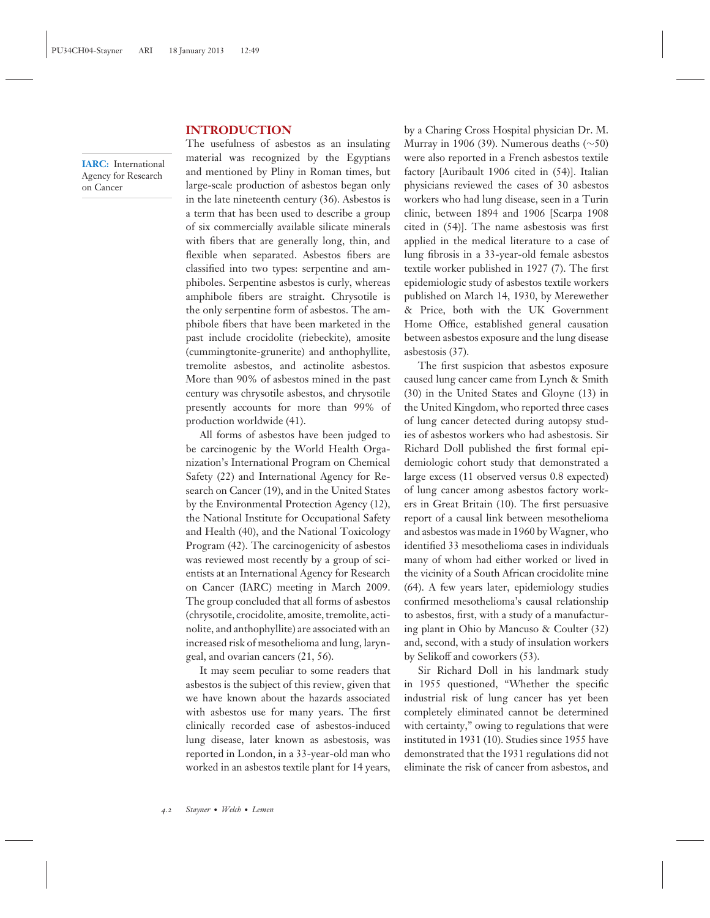on Cancer

## **INTRODUCTION**

**IARC:** International Agency for Research material was recognized by the Egyptians and mentioned by Pliny in Roman times, but large-scale production of asbestos began only in the late nineteenth century (36). Asbestos is a term that has been used to describe a group of six commercially available silicate minerals with fibers that are generally long, thin, and flexible when separated. Asbestos fibers are classified into two types: serpentine and amphiboles. Serpentine asbestos is curly, whereas amphibole fibers are straight. Chrysotile is the only serpentine form of asbestos. The amphibole fibers that have been marketed in the

past include crocidolite (riebeckite), amosite (cummingtonite-grunerite) and anthophyllite, tremolite asbestos, and actinolite asbestos. More than 90% of asbestos mined in the past century was chrysotile asbestos, and chrysotile presently accounts for more than 99% of production worldwide (41).

The usefulness of asbestos as an insulating

All forms of asbestos have been judged to be carcinogenic by the World Health Organization's International Program on Chemical Safety (22) and International Agency for Research on Cancer (19), and in the United States by the Environmental Protection Agency (12), the National Institute for Occupational Safety and Health (40), and the National Toxicology Program (42). The carcinogenicity of asbestos was reviewed most recently by a group of scientists at an International Agency for Research on Cancer (IARC) meeting in March 2009. The group concluded that all forms of asbestos (chrysotile, crocidolite, amosite, tremolite, actinolite, and anthophyllite) are associated with an increased risk of mesothelioma and lung, laryngeal, and ovarian cancers (21, 56).

It may seem peculiar to some readers that asbestos is the subject of this review, given that we have known about the hazards associated with asbestos use for many years. The first clinically recorded case of asbestos-induced lung disease, later known as asbestosis, was reported in London, in a 33-year-old man who worked in an asbestos textile plant for 14 years,

by a Charing Cross Hospital physician Dr. M. Murray in 1906 (39). Numerous deaths (∼50) were also reported in a French asbestos textile factory [Auribault 1906 cited in (54)]. Italian physicians reviewed the cases of 30 asbestos workers who had lung disease, seen in a Turin clinic, between 1894 and 1906 [Scarpa 1908 cited in (54)]. The name asbestosis was first applied in the medical literature to a case of lung fibrosis in a 33-year-old female asbestos textile worker published in 1927 (7). The first epidemiologic study of asbestos textile workers published on March 14, 1930, by Merewether & Price, both with the UK Government Home Office, established general causation between asbestos exposure and the lung disease asbestosis (37).

The first suspicion that asbestos exposure caused lung cancer came from Lynch & Smith (30) in the United States and Gloyne (13) in the United Kingdom, who reported three cases of lung cancer detected during autopsy studies of asbestos workers who had asbestosis. Sir Richard Doll published the first formal epidemiologic cohort study that demonstrated a large excess (11 observed versus 0.8 expected) of lung cancer among asbestos factory workers in Great Britain (10). The first persuasive report of a causal link between mesothelioma and asbestos was made in 1960 by Wagner, who identified 33 mesothelioma cases in individuals many of whom had either worked or lived in the vicinity of a South African crocidolite mine (64). A few years later, epidemiology studies confirmed mesothelioma's causal relationship to asbestos, first, with a study of a manufacturing plant in Ohio by Mancuso & Coulter (32) and, second, with a study of insulation workers by Selikoff and coworkers (53).

Sir Richard Doll in his landmark study in 1955 questioned, "Whether the specific industrial risk of lung cancer has yet been completely eliminated cannot be determined with certainty," owing to regulations that were instituted in 1931 (10). Studies since 1955 have demonstrated that the 1931 regulations did not eliminate the risk of cancer from asbestos, and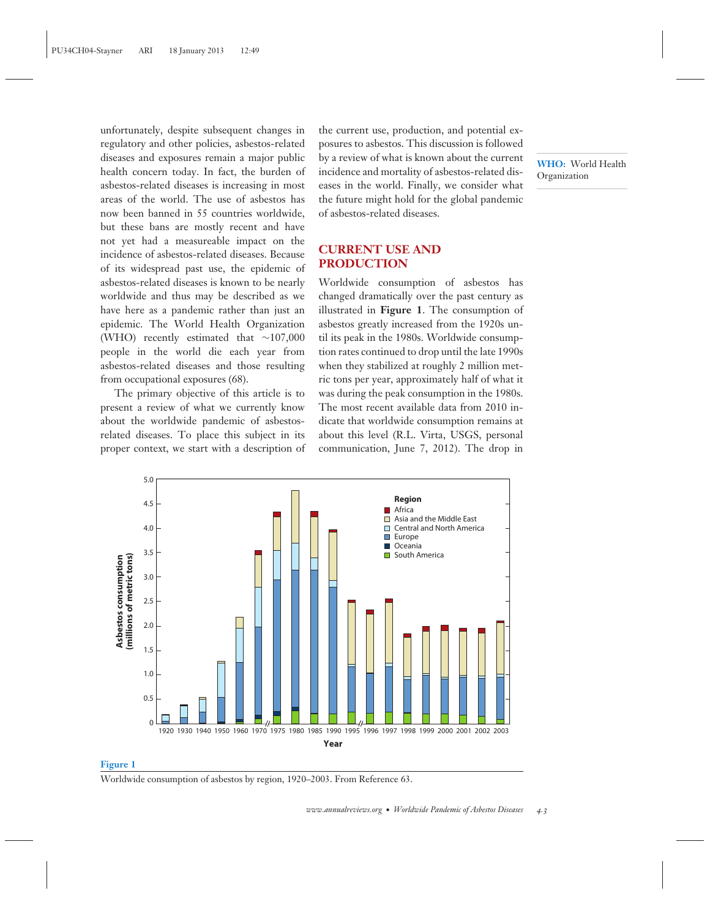unfortunately, despite subsequent changes in regulatory and other policies, asbestos-related diseases and exposures remain a major public health concern today. In fact, the burden of asbestos-related diseases is increasing in most areas of the world. The use of asbestos has now been banned in 55 countries worldwide, but these bans are mostly recent and have not yet had a measureable impact on the incidence of asbestos-related diseases. Because of its widespread past use, the epidemic of asbestos-related diseases is known to be nearly worldwide and thus may be described as we have here as a pandemic rather than just an epidemic. The World Health Organization (WHO) recently estimated that ∼107,000 people in the world die each year from asbestos-related diseases and those resulting from occupational exposures (68).

The primary objective of this article is to present a review of what we currently know about the worldwide pandemic of asbestosrelated diseases. To place this subject in its proper context, we start with a description of the current use, production, and potential exposures to asbestos. This discussion is followed by a review of what is known about the current incidence and mortality of asbestos-related diseases in the world. Finally, we consider what the future might hold for the global pandemic of asbestos-related diseases.

## **CURRENT USE AND PRODUCTION**

Worldwide consumption of asbestos has changed dramatically over the past century as illustrated in **Figure 1**. The consumption of asbestos greatly increased from the 1920s until its peak in the 1980s. Worldwide consumption rates continued to drop until the late 1990s when they stabilized at roughly 2 million metric tons per year, approximately half of what it was during the peak consumption in the 1980s. The most recent available data from 2010 indicate that worldwide consumption remains at about this level (R.L. Virta, USGS, personal communication, June 7, 2012). The drop in



#### **Figure 1**

Worldwide consumption of asbestos by region, 1920–2003. From Reference 63.

*www.annualreviews.org* • *Worldwide Pandemic of Asbestos Diseases 4.3*

**WHO:** World Health Organization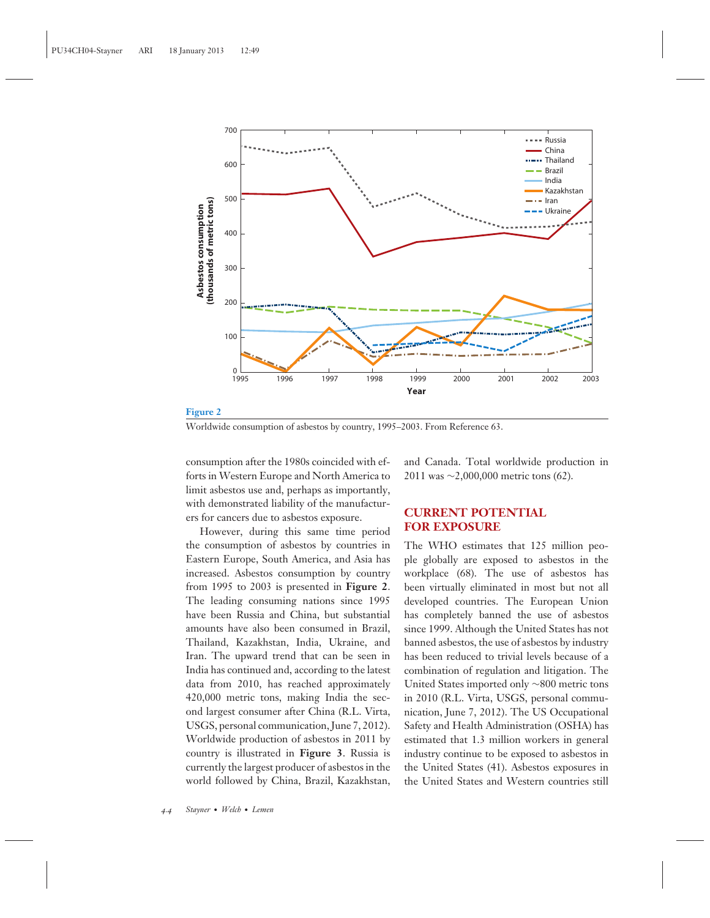

Worldwide consumption of asbestos by country, 1995–2003. From Reference 63.

consumption after the 1980s coincided with efforts in Western Europe and North America to limit asbestos use and, perhaps as importantly, with demonstrated liability of the manufacturers for cancers due to asbestos exposure.

However, during this same time period the consumption of asbestos by countries in Eastern Europe, South America, and Asia has increased. Asbestos consumption by country from 1995 to 2003 is presented in **Figure 2**. The leading consuming nations since 1995 have been Russia and China, but substantial amounts have also been consumed in Brazil, Thailand, Kazakhstan, India, Ukraine, and Iran. The upward trend that can be seen in India has continued and, according to the latest data from 2010, has reached approximately 420,000 metric tons, making India the second largest consumer after China (R.L. Virta, USGS, personal communication, June 7, 2012). Worldwide production of asbestos in 2011 by country is illustrated in **Figure 3**. Russia is currently the largest producer of asbestos in the world followed by China, Brazil, Kazakhstan,

and Canada. Total worldwide production in 2011 was ∼2,000,000 metric tons (62).

## **CURRENT POTENTIAL FOR EXPOSURE**

The WHO estimates that 125 million people globally are exposed to asbestos in the workplace (68). The use of asbestos has been virtually eliminated in most but not all developed countries. The European Union has completely banned the use of asbestos since 1999. Although the United States has not banned asbestos, the use of asbestos by industry has been reduced to trivial levels because of a combination of regulation and litigation. The United States imported only ∼800 metric tons in 2010 (R.L. Virta, USGS, personal communication, June 7, 2012). The US Occupational Safety and Health Administration (OSHA) has estimated that 1.3 million workers in general industry continue to be exposed to asbestos in the United States (41). Asbestos exposures in the United States and Western countries still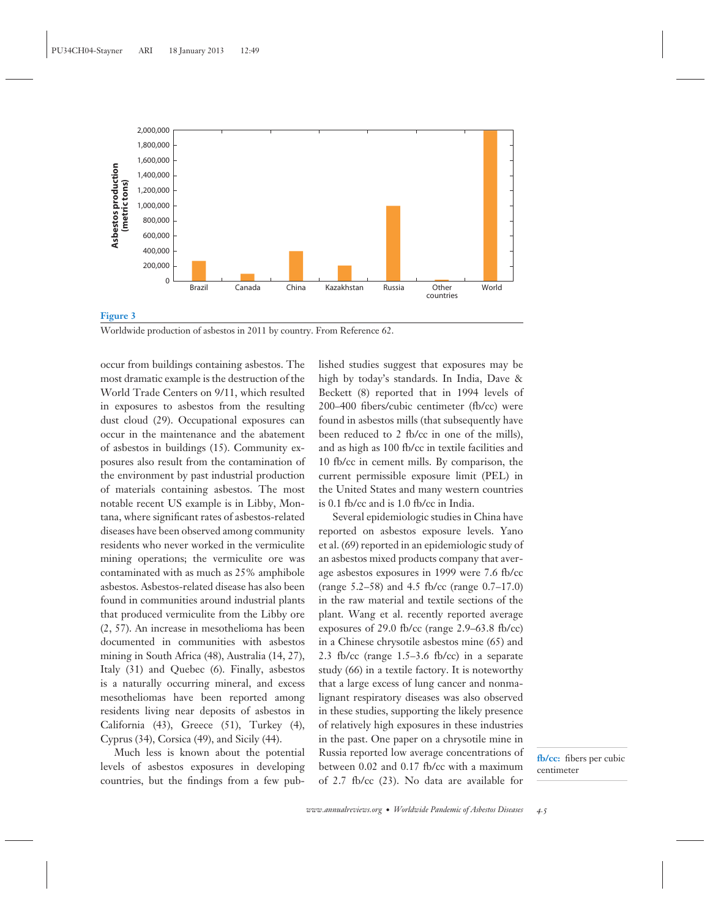

Worldwide production of asbestos in 2011 by country. From Reference 62.

occur from buildings containing asbestos. The most dramatic example is the destruction of the World Trade Centers on 9/11, which resulted in exposures to asbestos from the resulting dust cloud (29). Occupational exposures can occur in the maintenance and the abatement of asbestos in buildings (15). Community exposures also result from the contamination of the environment by past industrial production of materials containing asbestos. The most notable recent US example is in Libby, Montana, where significant rates of asbestos-related diseases have been observed among community residents who never worked in the vermiculite mining operations; the vermiculite ore was contaminated with as much as 25% amphibole asbestos. Asbestos-related disease has also been found in communities around industrial plants that produced vermiculite from the Libby ore (2, 57). An increase in mesothelioma has been documented in communities with asbestos mining in South Africa (48), Australia (14, 27), Italy (31) and Quebec (6). Finally, asbestos is a naturally occurring mineral, and excess mesotheliomas have been reported among residents living near deposits of asbestos in California (43), Greece (51), Turkey (4), Cyprus (34), Corsica (49), and Sicily (44).

Much less is known about the potential levels of asbestos exposures in developing countries, but the findings from a few published studies suggest that exposures may be high by today's standards. In India, Dave & Beckett (8) reported that in 1994 levels of 200–400 fibers/cubic centimeter (fb/cc) were found in asbestos mills (that subsequently have been reduced to 2 fb/cc in one of the mills), and as high as 100 fb/cc in textile facilities and 10 fb/cc in cement mills. By comparison, the current permissible exposure limit (PEL) in the United States and many western countries is 0.1 fb/cc and is 1.0 fb/cc in India.

Several epidemiologic studies in China have reported on asbestos exposure levels. Yano et al. (69) reported in an epidemiologic study of an asbestos mixed products company that average asbestos exposures in 1999 were 7.6 fb/cc (range 5.2–58) and 4.5 fb/cc (range 0.7–17.0) in the raw material and textile sections of the plant. Wang et al. recently reported average exposures of 29.0 fb/cc (range 2.9–63.8 fb/cc) in a Chinese chrysotile asbestos mine (65) and 2.3 fb/cc (range 1.5–3.6 fb/cc) in a separate study (66) in a textile factory. It is noteworthy that a large excess of lung cancer and nonmalignant respiratory diseases was also observed in these studies, supporting the likely presence of relatively high exposures in these industries in the past. One paper on a chrysotile mine in Russia reported low average concentrations of between 0.02 and 0.17 fb/cc with a maximum of 2.7 fb/cc (23). No data are available for

**fb/cc:** fibers per cubic centimeter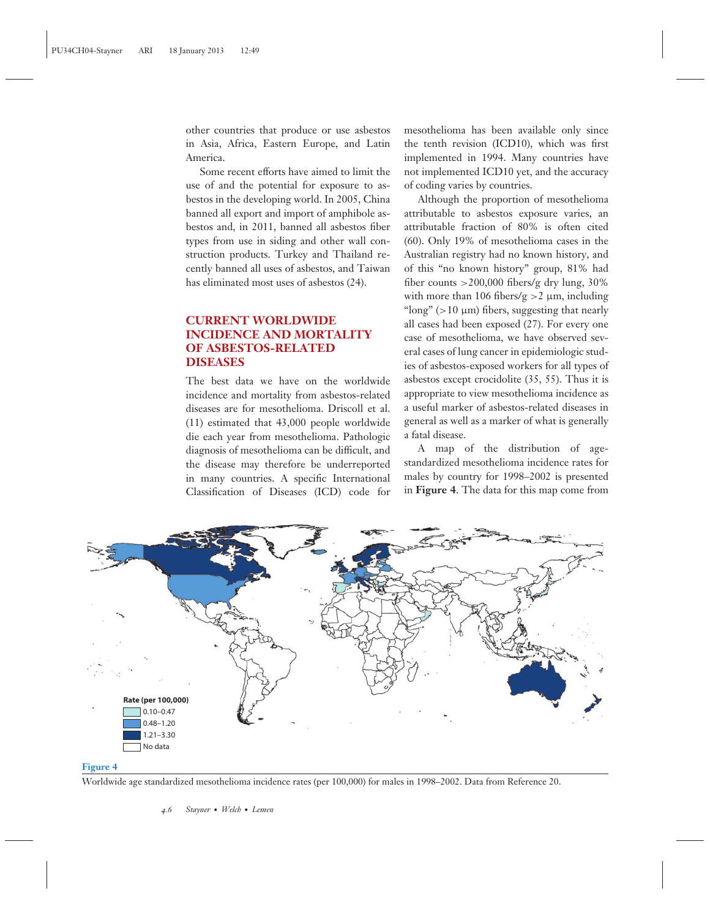other countries that produce or use asbestos in Asia, Africa, Eastern Europe, and Latin America.

Some recent efforts have aimed to limit the use of and the potential for exposure to asbestos in the developing world. In 2005, China banned all export and import of amphibole asbestos and, in 2011, banned all asbestos fiber types from use in siding and other wall construction products. Turkey and Thailand recently banned all uses of asbestos, and Taiwan has eliminated most uses of asbestos (24).

## **CURRENT WORLDWIDE INCIDENCE AND MORTALITY OF ASBESTOS-RELATED DISEASES**

The best data we have on the worldwide incidence and mortality from asbestos-related diseases are for mesothelioma. Driscoll et al. (11) estimated that 43,000 people worldwide die each year from mesothelioma. Pathologic diagnosis of mesothelioma can be difficult, and the disease may therefore be underreported in many countries. A specific International Classification of Diseases (ICD) code for

mesothelioma has been available only since the tenth revision (ICD10), which was first implemented in 1994. Many countries have not implemented ICD10 yet, and the accuracy of coding varies by countries.

Although the proportion of mesothelioma attributable to asbestos exposure varies, an attributable fraction of 80% is often cited (60). Only 19% of mesothelioma cases in the Australian registry had no known history, and of this "no known history" group, 81% had fiber counts >200,000 fibers/g dry lung, 30% with more than 106 fibers/g  $>2 \mu m$ , including " $\log$ " (>10  $\mu$ m) fibers, suggesting that nearly all cases had been exposed (27). For every one case of mesothelioma, we have observed several cases of lung cancer in epidemiologic studies of asbestos-exposed workers for all types of asbestos except crocidolite (35, 55). Thus it is appropriate to view mesothelioma incidence as a useful marker of asbestos-related diseases in general as well as a marker of what is generally a fatal disease.

A map of the distribution of agestandardized mesothelioma incidence rates for males by country for 1998–2002 is presented in **Figure 4**. The data for this map come from



#### **Figure 4**

Worldwide age standardized mesothelioma incidence rates (per 100,000) for males in 1998–2002. Data from Reference 20.

#### *4.6 Stayner* · *Welch* · *Lemen*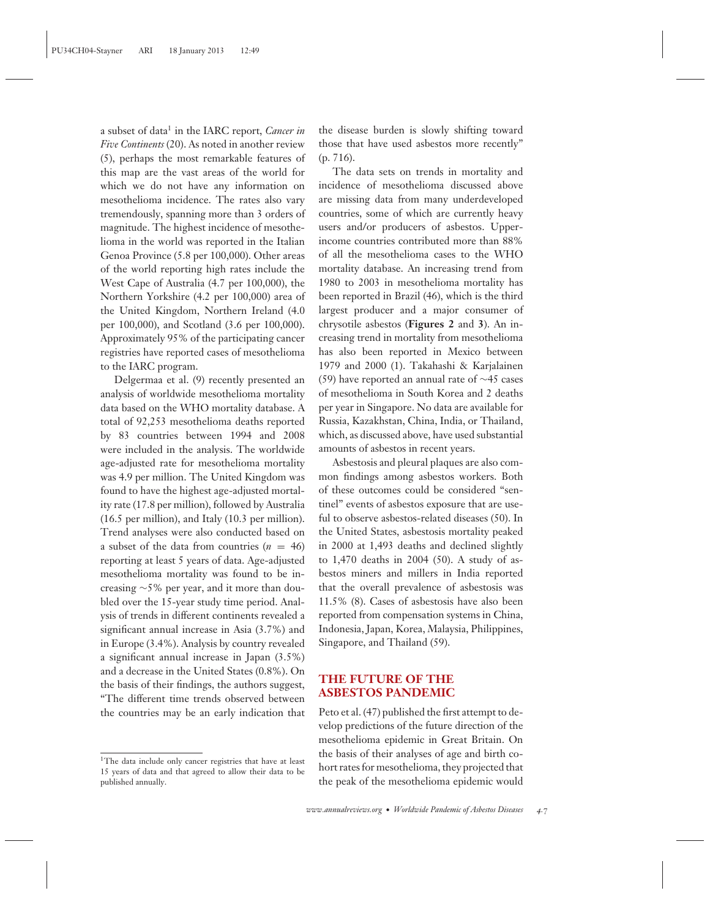a subset of data<sup>1</sup> in the IARC report, *Cancer in Five Continents* (20). As noted in another review (5), perhaps the most remarkable features of this map are the vast areas of the world for which we do not have any information on mesothelioma incidence. The rates also vary tremendously, spanning more than 3 orders of magnitude. The highest incidence of mesothelioma in the world was reported in the Italian Genoa Province (5.8 per 100,000). Other areas of the world reporting high rates include the West Cape of Australia (4.7 per 100,000), the Northern Yorkshire (4.2 per 100,000) area of the United Kingdom, Northern Ireland (4.0 per 100,000), and Scotland (3.6 per 100,000). Approximately 95% of the participating cancer registries have reported cases of mesothelioma to the IARC program.

Delgermaa et al. (9) recently presented an analysis of worldwide mesothelioma mortality data based on the WHO mortality database. A total of 92,253 mesothelioma deaths reported by 83 countries between 1994 and 2008 were included in the analysis. The worldwide age-adjusted rate for mesothelioma mortality was 4.9 per million. The United Kingdom was found to have the highest age-adjusted mortality rate (17.8 per million), followed by Australia (16.5 per million), and Italy (10.3 per million). Trend analyses were also conducted based on a subset of the data from countries  $(n = 46)$ reporting at least 5 years of data. Age-adjusted mesothelioma mortality was found to be increasing ∼5% per year, and it more than doubled over the 15-year study time period. Analysis of trends in different continents revealed a significant annual increase in Asia (3.7%) and in Europe (3.4%). Analysis by country revealed a significant annual increase in Japan (3.5%) and a decrease in the United States (0.8%). On the basis of their findings, the authors suggest, "The different time trends observed between the countries may be an early indication that

the disease burden is slowly shifting toward those that have used asbestos more recently" (p. 716).

The data sets on trends in mortality and incidence of mesothelioma discussed above are missing data from many underdeveloped countries, some of which are currently heavy users and/or producers of asbestos. Upperincome countries contributed more than 88% of all the mesothelioma cases to the WHO mortality database. An increasing trend from 1980 to 2003 in mesothelioma mortality has been reported in Brazil (46), which is the third largest producer and a major consumer of chrysotile asbestos (**Figures 2** and **3**). An increasing trend in mortality from mesothelioma has also been reported in Mexico between 1979 and 2000 (1). Takahashi & Karjalainen (59) have reported an annual rate of ∼45 cases of mesothelioma in South Korea and 2 deaths per year in Singapore. No data are available for Russia, Kazakhstan, China, India, or Thailand, which, as discussed above, have used substantial amounts of asbestos in recent years.

Asbestosis and pleural plaques are also common findings among asbestos workers. Both of these outcomes could be considered "sentinel" events of asbestos exposure that are useful to observe asbestos-related diseases (50). In the United States, asbestosis mortality peaked in 2000 at 1,493 deaths and declined slightly to 1,470 deaths in 2004 (50). A study of asbestos miners and millers in India reported that the overall prevalence of asbestosis was 11.5% (8). Cases of asbestosis have also been reported from compensation systems in China, Indonesia, Japan, Korea, Malaysia, Philippines, Singapore, and Thailand (59).

## **THE FUTURE OF THE ASBESTOS PANDEMIC**

Peto et al. (47) published the first attempt to develop predictions of the future direction of the mesothelioma epidemic in Great Britain. On the basis of their analyses of age and birth cohort rates for mesothelioma, they projected that the peak of the mesothelioma epidemic would

<sup>&</sup>lt;sup>1</sup>The data include only cancer registries that have at least 15 years of data and that agreed to allow their data to be published annually.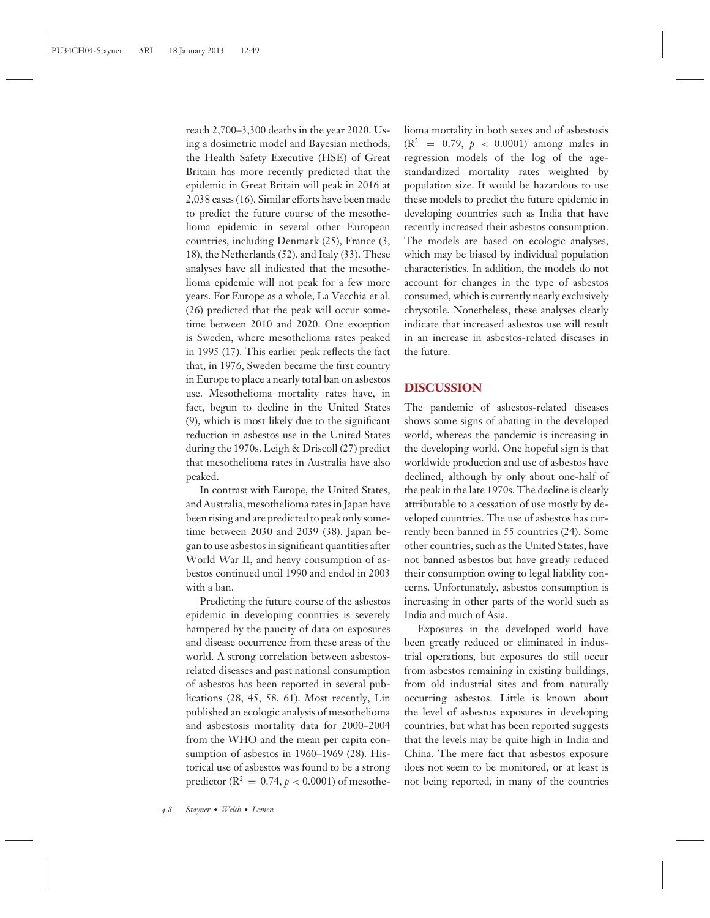reach 2,700–3,300 deaths in the year 2020. Using a dosimetric model and Bayesian methods, the Health Safety Executive (HSE) of Great Britain has more recently predicted that the epidemic in Great Britain will peak in 2016 at 2,038 cases (16). Similar efforts have been made to predict the future course of the mesothelioma epidemic in several other European countries, including Denmark (25), France (3, 18), the Netherlands (52), and Italy (33). These analyses have all indicated that the mesothelioma epidemic will not peak for a few more years. For Europe as a whole, La Vecchia et al. (26) predicted that the peak will occur sometime between 2010 and 2020. One exception is Sweden, where mesothelioma rates peaked in 1995 (17). This earlier peak reflects the fact that, in 1976, Sweden became the first country in Europe to place a nearly total ban on asbestos use. Mesothelioma mortality rates have, in fact, begun to decline in the United States (9), which is most likely due to the significant reduction in asbestos use in the United States during the 1970s. Leigh & Driscoll (27) predict that mesothelioma rates in Australia have also peaked.

In contrast with Europe, the United States, and Australia, mesothelioma rates in Japan have been rising and are predicted to peak only sometime between 2030 and 2039 (38). Japan began to use asbestos in significant quantities after World War II, and heavy consumption of asbestos continued until 1990 and ended in 2003 with a ban.

Predicting the future course of the asbestos epidemic in developing countries is severely hampered by the paucity of data on exposures and disease occurrence from these areas of the world. A strong correlation between asbestosrelated diseases and past national consumption of asbestos has been reported in several publications (28, 45, 58, 61). Most recently, Lin published an ecologic analysis of mesothelioma and asbestosis mortality data for 2000–2004 from the WHO and the mean per capita consumption of asbestos in 1960–1969 (28). Historical use of asbestos was found to be a strong predictor ( $\mathbb{R}^2 = 0.74$ ,  $p < 0.0001$ ) of mesothelioma mortality in both sexes and of asbestosis  $(R^2 = 0.79, p < 0.0001)$  among males in regression models of the log of the agestandardized mortality rates weighted by population size. It would be hazardous to use these models to predict the future epidemic in developing countries such as India that have recently increased their asbestos consumption. The models are based on ecologic analyses, which may be biased by individual population characteristics. In addition, the models do not account for changes in the type of asbestos consumed, which is currently nearly exclusively chrysotile. Nonetheless, these analyses clearly indicate that increased asbestos use will result in an increase in asbestos-related diseases in the future.

#### **DISCUSSION**

The pandemic of asbestos-related diseases shows some signs of abating in the developed world, whereas the pandemic is increasing in the developing world. One hopeful sign is that worldwide production and use of asbestos have declined, although by only about one-half of the peak in the late 1970s. The decline is clearly attributable to a cessation of use mostly by developed countries. The use of asbestos has currently been banned in 55 countries (24). Some other countries, such as the United States, have not banned asbestos but have greatly reduced their consumption owing to legal liability concerns. Unfortunately, asbestos consumption is increasing in other parts of the world such as India and much of Asia.

Exposures in the developed world have been greatly reduced or eliminated in industrial operations, but exposures do still occur from asbestos remaining in existing buildings, from old industrial sites and from naturally occurring asbestos. Little is known about the level of asbestos exposures in developing countries, but what has been reported suggests that the levels may be quite high in India and China. The mere fact that asbestos exposure does not seem to be monitored, or at least is not being reported, in many of the countries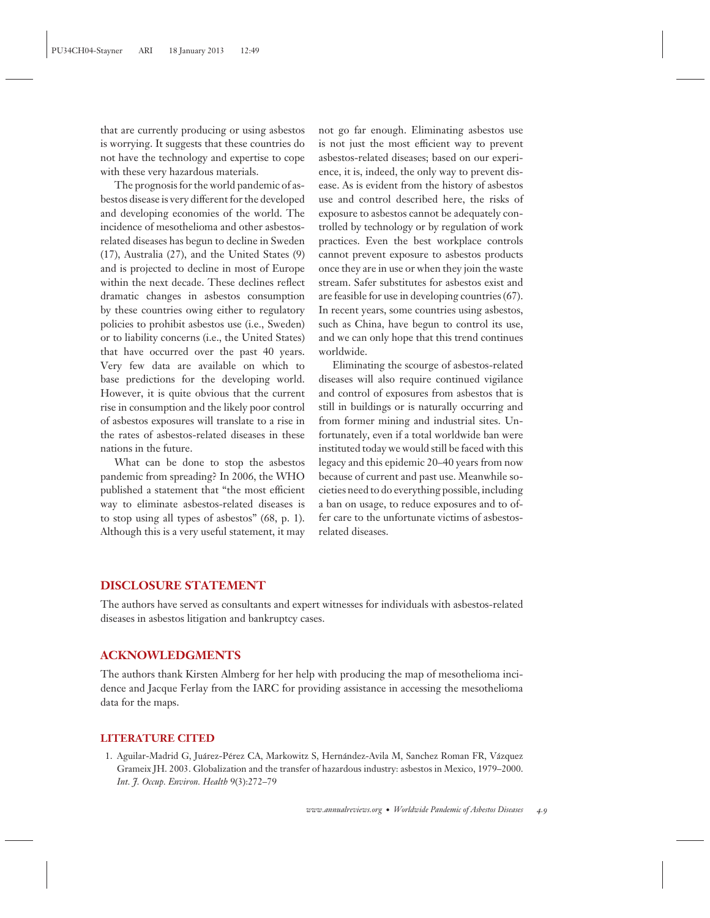that are currently producing or using asbestos is worrying. It suggests that these countries do not have the technology and expertise to cope with these very hazardous materials.

The prognosis for the world pandemic of asbestos disease is very different for the developed and developing economies of the world. The incidence of mesothelioma and other asbestosrelated diseases has begun to decline in Sweden (17), Australia (27), and the United States (9) and is projected to decline in most of Europe within the next decade. These declines reflect dramatic changes in asbestos consumption by these countries owing either to regulatory policies to prohibit asbestos use (i.e., Sweden) or to liability concerns (i.e., the United States) that have occurred over the past 40 years. Very few data are available on which to base predictions for the developing world. However, it is quite obvious that the current rise in consumption and the likely poor control of asbestos exposures will translate to a rise in the rates of asbestos-related diseases in these nations in the future.

What can be done to stop the asbestos pandemic from spreading? In 2006, the WHO published a statement that "the most efficient way to eliminate asbestos-related diseases is to stop using all types of asbestos" (68, p. 1). Although this is a very useful statement, it may not go far enough. Eliminating asbestos use is not just the most efficient way to prevent asbestos-related diseases; based on our experience, it is, indeed, the only way to prevent disease. As is evident from the history of asbestos use and control described here, the risks of exposure to asbestos cannot be adequately controlled by technology or by regulation of work practices. Even the best workplace controls cannot prevent exposure to asbestos products once they are in use or when they join the waste stream. Safer substitutes for asbestos exist and are feasible for use in developing countries (67). In recent years, some countries using asbestos, such as China, have begun to control its use, and we can only hope that this trend continues worldwide.

Eliminating the scourge of asbestos-related diseases will also require continued vigilance and control of exposures from asbestos that is still in buildings or is naturally occurring and from former mining and industrial sites. Unfortunately, even if a total worldwide ban were instituted today we would still be faced with this legacy and this epidemic 20–40 years from now because of current and past use. Meanwhile societies need to do everything possible, including a ban on usage, to reduce exposures and to offer care to the unfortunate victims of asbestosrelated diseases.

#### **DISCLOSURE STATEMENT**

The authors have served as consultants and expert witnesses for individuals with asbestos-related diseases in asbestos litigation and bankruptcy cases.

#### **ACKNOWLEDGMENTS**

The authors thank Kirsten Almberg for her help with producing the map of mesothelioma incidence and Jacque Ferlay from the IARC for providing assistance in accessing the mesothelioma data for the maps.

#### **LITERATURE CITED**

1. Aguilar-Madrid G, Juárez-Pérez CA, Markowitz S, Hernández-Avila M, Sanchez Roman FR, Vázquez Grameix JH. 2003. Globalization and the transfer of hazardous industry: asbestos in Mexico, 1979–2000. *Int. J. Occup. Environ. Health* 9(3):272–79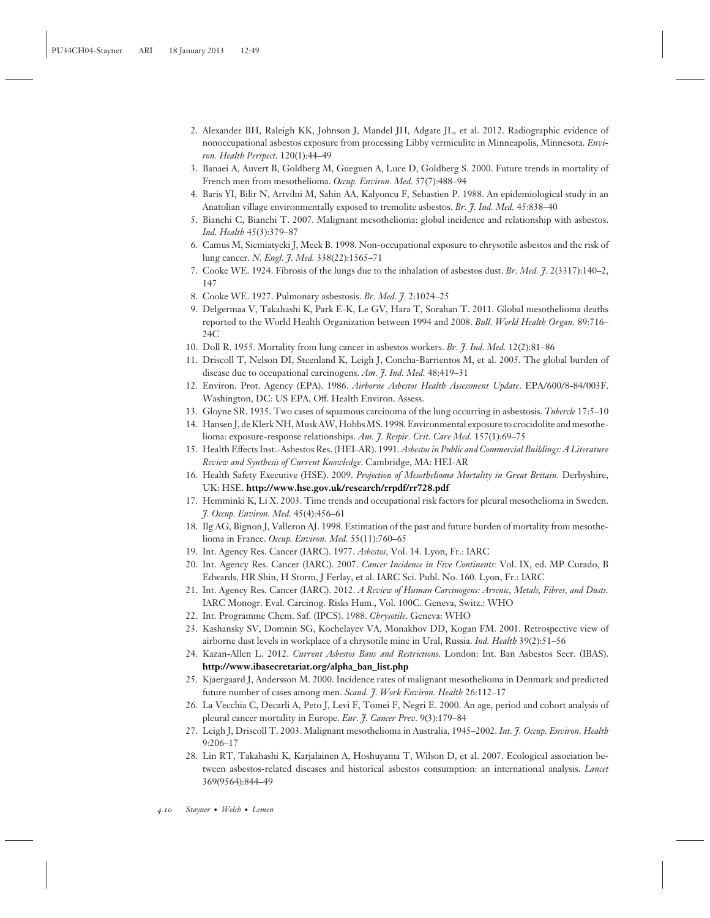- 2. Alexander BH, Raleigh KK, Johnson J, Mandel JH, Adgate JL, et al. 2012. Radiographic evidence of nonoccupational asbestos exposure from processing Libby vermiculite in Minneapolis, Minnesota. *Environ. Health Perspect.* 120(1):44–49
- 3. Banaei A, Auvert B, Goldberg M, Gueguen A, Luce D, Goldberg S. 2000. Future trends in mortality of French men from mesothelioma. *Occup. Environ. Med.* 57(7):488–94
- 4. Baris YI, Bilir N, Artvilni M, Sahin AA, Kalyoncu F, Sebastien P. 1988. An epidemiological study in an Anatolian village environmentally exposed to tremolite asbestos. *Br. J. Ind. Med.* 45:838–40
- 5. Bianchi C, Bianchi T. 2007. Malignant mesothelioma: global incidence and relationship with asbestos. *Ind. Health* 45(3):379–87
- 6. Camus M, Siemiatycki J, Meek B. 1998. Non-occupational exposure to chrysotile asbestos and the risk of lung cancer. *N. Engl. J. Med.* 338(22):1565–71
- 7. Cooke WE. 1924. Fibrosis of the lungs due to the inhalation of asbestos dust. *Br. Med. J.* 2(3317):140–2, 147
- 8. Cooke WE. 1927. Pulmonary asbestosis. *Br. Med. J.* 2:1024–25
- 9. Delgermaa V, Takahashi K, Park E-K, Le GV, Hara T, Sorahan T. 2011. Global mesothelioma deaths reported to the World Health Organization between 1994 and 2008. *Bull. World Health Organ.* 89:716– 24C
- 10. Doll R. 1955. Mortality from lung cancer in asbestos workers. *Br. J. Ind. Med.* 12(2):81–86
- 11. Driscoll T, Nelson DI, Steenland K, Leigh J, Concha-Barrientos M, et al. 2005. The global burden of disease due to occupational carcinogens. *Am. J. Ind. Med.* 48:419–31
- 12. Environ. Prot. Agency (EPA). 1986. *Airborne Asbestos Health Assessment Update*. EPA/600/8-84/003F. Washington, DC: US EPA, Off. Health Environ. Assess.
- 13. Gloyne SR. 1935. Two cases of squamous carcinoma of the lung occurring in asbestosis. *Tubercle* 17:5–10
- 14. Hansen J, de Klerk NH,Musk AW, HobbsMS. 1998. Environmental exposure to crocidolite and mesothelioma: exposure-response relationships. *Am. J. Respir. Crit. Care Med.* 157(1):69–75
- 15. Health Effects Inst.-Asbestos Res. (HEI-AR). 1991. *Asbestos in Public and Commercial Buildings: A Literature Review and Synthesis of Current Knowledge*. Cambridge, MA: HEI-AR
- 16. Health Safety Executive (HSE). 2009. *Projection of Mesothelioma Mortality in Great Britain.* Derbyshire, UK: HSE. **<http://www.hse.gov.uk/research/rrpdf/rr728.pdf>**
- 17. Hemminki K, Li X. 2003. Time trends and occupational risk factors for pleural mesothelioma in Sweden. *J. Occup. Environ. Med.* 45(4):456–61
- 18. Ilg AG, Bignon J, Valleron AJ. 1998. Estimation of the past and future burden of mortality from mesothelioma in France. *Occup. Environ. Med.* 55(11):760–65
- 19. Int. Agency Res. Cancer (IARC). 1977. *Asbestos*, Vol. 14. Lyon, Fr.: IARC
- 20. Int. Agency Res. Cancer (IARC). 2007. *Cancer Incidence in Five Continents:* Vol. IX, ed. MP Curado, B Edwards, HR Shin, H Storm, J Ferlay, et al. IARC Sci. Publ. No. 160. Lyon, Fr.: IARC
- 21. Int. Agency Res. Cancer (IARC). 2012. *A Review of Human Carcinogens: Arsenic, Metals, Fibres, and Dusts.* IARC Monogr. Eval. Carcinog. Risks Hum., Vol. 100C. Geneva, Switz.: WHO
- 22. Int. Programme Chem. Saf. (IPCS). 1988. *Chrysotile*. Geneva: WHO
- 23. Kashansky SV, Domnin SG, Kochelayev VA, Monakhov DD, Kogan FM. 2001. Retrospective view of airborne dust levels in workplace of a chrysotile mine in Ural, Russia. *Ind. Health* 39(2):51–56
- 24. Kazan-Allen L. 2012. *Current Asbestos Bans and Restrictions*. London: Int. Ban Asbestos Secr. (IBAS). **[http://www.ibasecretariat.org/alpha\\_ban\\_list.php](http://www.ibasecretariat.org/alpha_ban_list.php)**
- 25. Kjaergaard J, Andersson M. 2000. Incidence rates of malignant mesothelioma in Denmark and predicted future number of cases among men. *Scand. J. Work Environ. Health* 26:112–17
- 26. La Vecchia C, Decarli A, Peto J, Levi F, Tomei F, Negri E. 2000. An age, period and cohort analysis of pleural cancer mortality in Europe. *Eur. J. Cancer Prev.* 9(3):179–84
- 27. Leigh J, Driscoll T. 2003. Malignant mesothelioma in Australia, 1945–2002. *Int. J. Occup. Environ. Health* 9:206–17
- 28. Lin RT, Takahashi K, Karjalainen A, Hoshuyama T, Wilson D, et al. 2007. Ecological association between asbestos-related diseases and historical asbestos consumption: an international analysis. *Lancet* 369(9564):844–49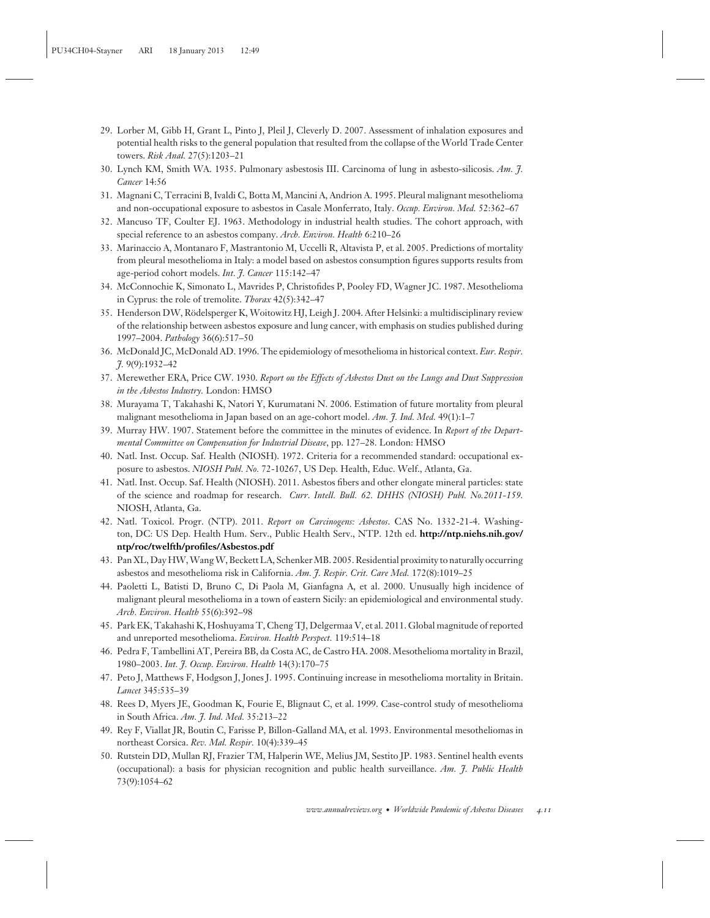- 29. Lorber M, Gibb H, Grant L, Pinto J, Pleil J, Cleverly D. 2007. Assessment of inhalation exposures and potential health risks to the general population that resulted from the collapse of the World Trade Center towers. *Risk Anal.* 27(5):1203–21
- 30. Lynch KM, Smith WA. 1935. Pulmonary asbestosis III. Carcinoma of lung in asbesto-silicosis. *Am. J. Cancer* 14:56
- 31. Magnani C, Terracini B, Ivaldi C, Botta M, Mancini A, Andrion A. 1995. Pleural malignant mesothelioma and non-occupational exposure to asbestos in Casale Monferrato, Italy. *Occup. Environ. Med.* 52:362–67
- 32. Mancuso TF, Coulter EJ. 1963. Methodology in industrial health studies. The cohort approach, with special reference to an asbestos company. *Arch. Environ. Health* 6:210–26
- 33. Marinaccio A, Montanaro F, Mastrantonio M, Uccelli R, Altavista P, et al. 2005. Predictions of mortality from pleural mesothelioma in Italy: a model based on asbestos consumption figures supports results from age-period cohort models. *Int. J. Cancer* 115:142–47
- 34. McConnochie K, Simonato L, Mavrides P, Christofides P, Pooley FD, Wagner JC. 1987. Mesothelioma in Cyprus: the role of tremolite. *Thorax* 42(5):342–47
- 35. Henderson DW, Rodelsperger K, Woitowitz HJ, Leigh J. 2004. After Helsinki: a multidisciplinary review ¨ of the relationship between asbestos exposure and lung cancer, with emphasis on studies published during 1997–2004. *Pathology* 36(6):517–50
- 36. McDonald JC, McDonald AD. 1996. The epidemiology of mesothelioma in historical context. *Eur. Respir. J.* 9(9):1932–42
- 37. Merewether ERA, Price CW. 1930. *Report on the Effects of Asbestos Dust on the Lungs and Dust Suppression in the Asbestos Industry.* London: HMSO
- 38. Murayama T, Takahashi K, Natori Y, Kurumatani N. 2006. Estimation of future mortality from pleural malignant mesothelioma in Japan based on an age-cohort model. *Am. J. Ind. Med.* 49(1):1–7
- 39. Murray HW. 1907. Statement before the committee in the minutes of evidence. In *Report of the Departmental Committee on Compensation for Industrial Disease*, pp. 127–28. London: HMSO
- 40. Natl. Inst. Occup. Saf. Health (NIOSH). 1972. Criteria for a recommended standard: occupational exposure to asbestos. *NIOSH Publ. No.* 72-10267, US Dep. Health, Educ. Welf., Atlanta, Ga.
- 41. Natl. Inst. Occup. Saf. Health (NIOSH). 2011. Asbestos fibers and other elongate mineral particles: state of the science and roadmap for research. *Curr. Intell. Bull. 62. DHHS (NIOSH) Publ. No.2011-159.* NIOSH, Atlanta, Ga.
- 42. Natl. Toxicol. Progr. (NTP). 2011. *Report on Carcinogens: Asbestos*. CAS No. 1332-21-4. Washington, DC: US Dep. Health Hum. Serv., Public Health Serv., NTP. 12th ed. **[http://ntp.niehs.nih.gov/](http://ntp.niehs.nih.gov/ntp/roc/twelfth/profiles/Asbestos.pdf) [ntp/roc/twelfth/profiles/Asbestos.pdf](http://ntp.niehs.nih.gov/ntp/roc/twelfth/profiles/Asbestos.pdf)**
- 43. Pan XL, Day HW,WangW, Beckett LA, SchenkerMB. 2005. Residential proximity to naturally occurring asbestos and mesothelioma risk in California. *Am. J. Respir. Crit. Care Med.* 172(8):1019–25
- 44. Paoletti L, Batisti D, Bruno C, Di Paola M, Gianfagna A, et al. 2000. Unusually high incidence of malignant pleural mesothelioma in a town of eastern Sicily: an epidemiological and environmental study. *Arch. Environ. Health* 55(6):392–98
- 45. Park EK, Takahashi K, Hoshuyama T, Cheng TJ, Delgermaa V, et al. 2011. Global magnitude of reported and unreported mesothelioma. *Environ. Health Perspect.* 119:514–18
- 46. Pedra F, Tambellini AT, Pereira BB, da Costa AC, de Castro HA. 2008. Mesothelioma mortality in Brazil, 1980–2003. *Int. J. Occup. Environ. Health* 14(3):170–75
- 47. Peto J, Matthews F, Hodgson J, Jones J. 1995. Continuing increase in mesothelioma mortality in Britain. *Lancet* 345:535–39
- 48. Rees D, Myers JE, Goodman K, Fourie E, Blignaut C, et al. 1999. Case-control study of mesothelioma in South Africa. *Am. J. Ind. Med.* 35:213–22
- 49. Rey F, Viallat JR, Boutin C, Farisse P, Billon-Galland MA, et al. 1993. Environmental mesotheliomas in northeast Corsica. *Rev. Mal. Respir.* 10(4):339–45
- 50. Rutstein DD, Mullan RJ, Frazier TM, Halperin WE, Melius JM, Sestito JP. 1983. Sentinel health events (occupational): a basis for physician recognition and public health surveillance. *Am. J. Public Health* 73(9):1054–62